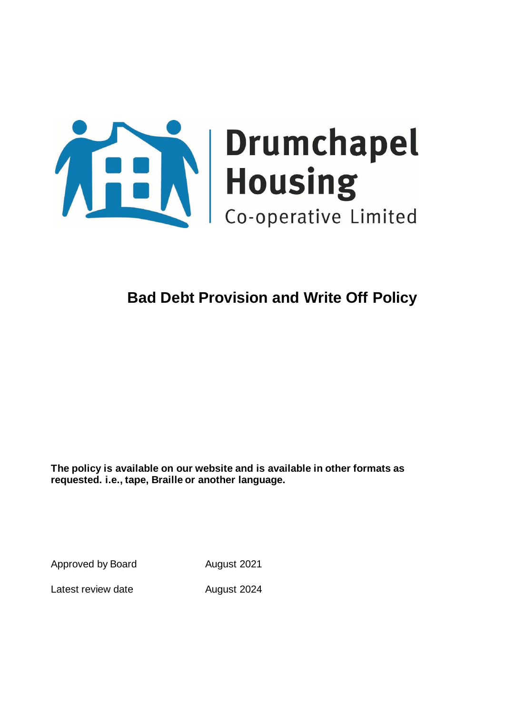

# **Bad Debt Provision and Write Off Policy**

**The policy is available on our website and is available in other formats as requested. i.e., tape, Braille or another language.**

Approved by Board August 2021

Latest review date Manust 2024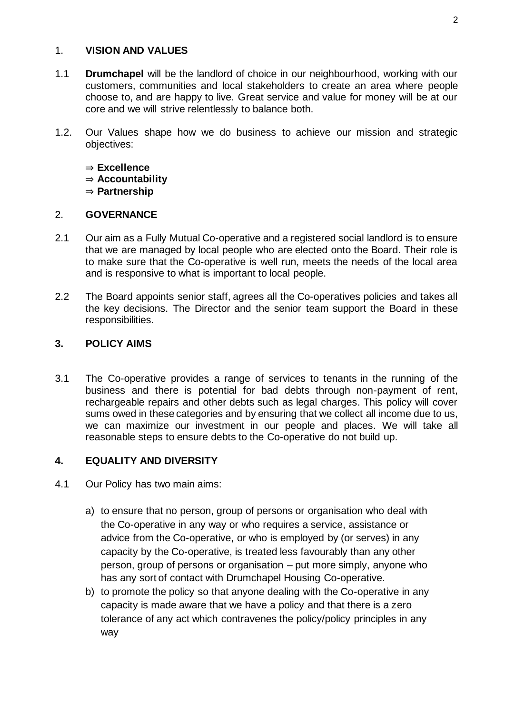## 1. **VISION AND VALUES**

- 1.1 **Drumchapel** will be the landlord of choice in our neighbourhood, working with our customers, communities and local stakeholders to create an area where people choose to, and are happy to live. Great service and value for money will be at our core and we will strive relentlessly to balance both.
- 1.2. Our Values shape how we do business to achieve our mission and strategic objectives:
	- ⇒ **Excellence**
	- ⇒ **Accountability**
	- ⇒ **Partnership**

## 2. **GOVERNANCE**

- 2.1 Our aim as a Fully Mutual Co-operative and a registered social landlord is to ensure that we are managed by local people who are elected onto the Board. Their role is to make sure that the Co-operative is well run, meets the needs of the local area and is responsive to what is important to local people.
- 2.2 The Board appoints senior staff, agrees all the Co-operatives policies and takes all the key decisions. The Director and the senior team support the Board in these responsibilities.

## **3. POLICY AIMS**

3.1 The Co-operative provides a range of services to tenants in the running of the business and there is potential for bad debts through non-payment of rent, rechargeable repairs and other debts such as legal charges. This policy will cover sums owed in these categories and by ensuring that we collect all income due to us, we can maximize our investment in our people and places. We will take all reasonable steps to ensure debts to the Co-operative do not build up.

# **4. EQUALITY AND DIVERSITY**

- 4.1 Our Policy has two main aims:
	- a) to ensure that no person, group of persons or organisation who deal with the Co-operative in any way or who requires a service, assistance or advice from the Co-operative, or who is employed by (or serves) in any capacity by the Co-operative, is treated less favourably than any other person, group of persons or organisation – put more simply, anyone who has any sort of contact with Drumchapel Housing Co-operative.
	- b) to promote the policy so that anyone dealing with the Co-operative in any capacity is made aware that we have a policy and that there is a zero tolerance of any act which contravenes the policy/policy principles in any way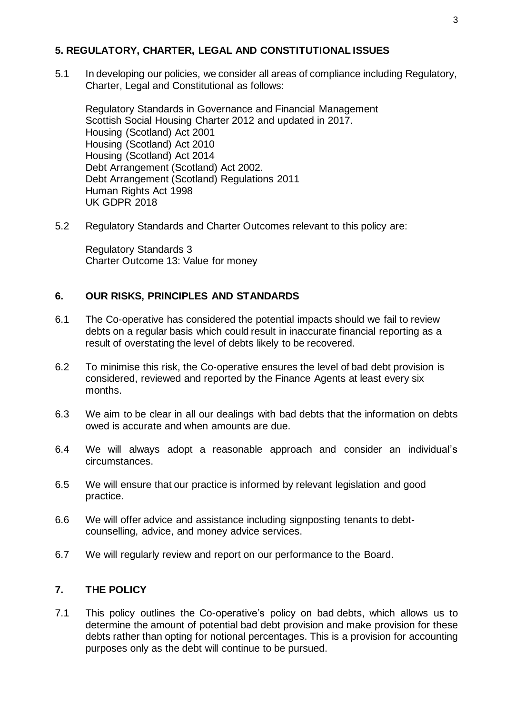## **5. REGULATORY, CHARTER, LEGAL AND CONSTITUTIONAL ISSUES**

5.1 In developing our policies, we consider all areas of compliance including Regulatory, Charter, Legal and Constitutional as follows:

Regulatory Standards in Governance and Financial Management Scottish Social Housing Charter 2012 and updated in 2017. Housing (Scotland) Act 2001 Housing (Scotland) Act 2010 Housing (Scotland) Act 2014 Debt Arrangement (Scotland) Act 2002. Debt Arrangement (Scotland) Regulations 2011 Human Rights Act 1998 UK GDPR 2018

5.2 Regulatory Standards and Charter Outcomes relevant to this policy are:

Regulatory Standards 3 Charter Outcome 13: Value for money

#### **6. OUR RISKS, PRINCIPLES AND STANDARDS**

- 6.1 The Co-operative has considered the potential impacts should we fail to review debts on a regular basis which could result in inaccurate financial reporting as a result of overstating the level of debts likely to be recovered.
- 6.2 To minimise this risk, the Co-operative ensures the level of bad debt provision is considered, reviewed and reported by the Finance Agents at least every six months.
- 6.3 We aim to be clear in all our dealings with bad debts that the information on debts owed is accurate and when amounts are due.
- 6.4 We will always adopt a reasonable approach and consider an individual's circumstances.
- 6.5 We will ensure that our practice is informed by relevant legislation and good practice.
- 6.6 We will offer advice and assistance including signposting tenants to debtcounselling, advice, and money advice services.
- 6.7 We will regularly review and report on our performance to the Board.

#### **7. THE POLICY**

7.1 This policy outlines the Co-operative's policy on bad debts, which allows us to determine the amount of potential bad debt provision and make provision for these debts rather than opting for notional percentages. This is a provision for accounting purposes only as the debt will continue to be pursued.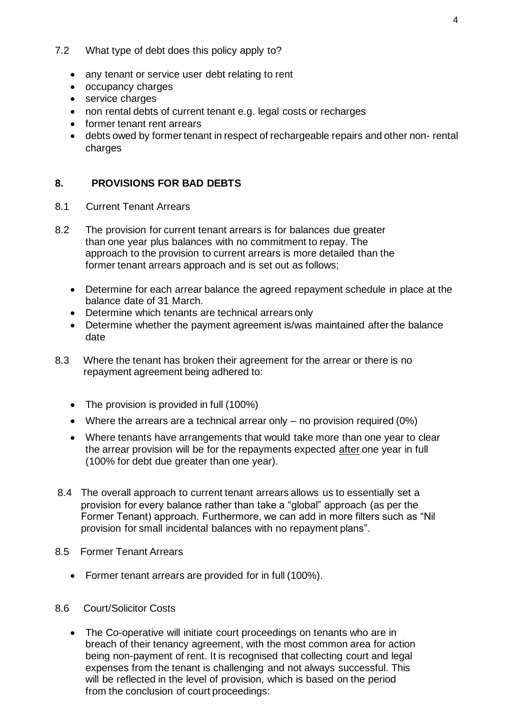## 7.2 What type of debt does this policy apply to?

- any tenant or service user debt relating to rent
- occupancy charges
- service charges
- non rental debts of current tenant e.g. legal costs or recharges
- former tenant rent arrears
- debts owed by former tenant in respect of rechargeable repairs and other non- rental charges

# **8. PROVISIONS FOR BAD DEBTS**

- 8.1 Current Tenant Arrears
- 8.2 The provision for current tenant arrears is for balances due greater than one year plus balances with no commitment to repay. The approach to the provision to current arrears is more detailed than the former tenant arrears approach and is set out as follows;
	- Determine for each arrear balance the agreed repayment schedule in place at the balance date of 31 March.
	- Determine which tenants are technical arrears only
	- Determine whether the payment agreement is/was maintained after the balance date
- 8.3 Where the tenant has broken their agreement for the arrear or there is no repayment agreement being adhered to:
	- The provision is provided in full (100%)
	- Where the arrears are a technical arrear only no provision required (0%)
	- Where tenants have arrangements that would take more than one year to clear the arrear provision will be for the repayments expected after one year in full (100% for debt due greater than one year).
- 8.4 The overall approach to current tenant arrears allows us to essentially set a provision for every balance rather than take a "global" approach (as per the Former Tenant) approach. Furthermore, we can add in more filters such as "Nil provision for small incidental balances with no repayment plans".
- 8.5 Former Tenant Arrears
	- Former tenant arrears are provided for in full (100%).
- 8.6 Court/Solicitor Costs
	- The Co-operative will initiate court proceedings on tenants who are in breach of their tenancy agreement, with the most common area for action being non-payment of rent. It is recognised that collecting court and legal expenses from the tenant is challenging and not always successful. This will be reflected in the level of provision, which is based on the period from the conclusion of court proceedings: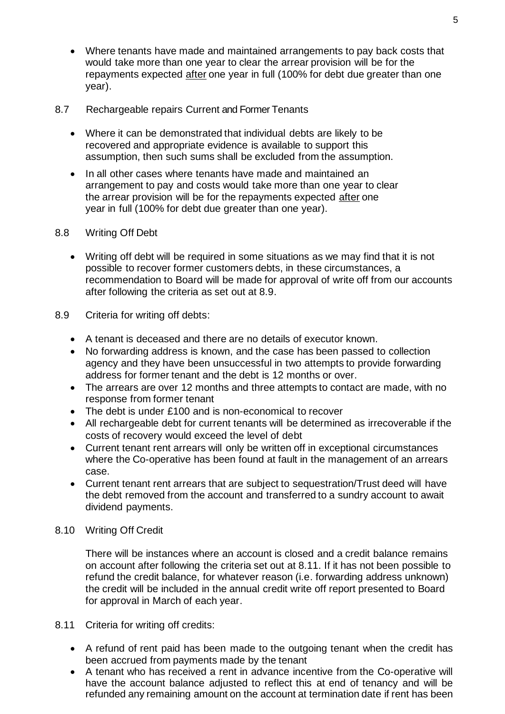- Where tenants have made and maintained arrangements to pay back costs that would take more than one year to clear the arrear provision will be for the repayments expected after one year in full (100% for debt due greater than one year).
- 8.7 Rechargeable repairs Current and Former Tenants
	- Where it can be demonstrated that individual debts are likely to be recovered and appropriate evidence is available to support this assumption, then such sums shall be excluded from the assumption.
	- In all other cases where tenants have made and maintained an arrangement to pay and costs would take more than one year to clear the arrear provision will be for the repayments expected after one year in full (100% for debt due greater than one year).
- 8.8 Writing Off Debt
	- Writing off debt will be required in some situations as we may find that it is not possible to recover former customers debts, in these circumstances, a recommendation to Board will be made for approval of write off from our accounts after following the criteria as set out at 8.9.
- 8.9 Criteria for writing off debts:
	- A tenant is deceased and there are no details of executor known.
	- No forwarding address is known, and the case has been passed to collection agency and they have been unsuccessful in two attempts to provide forwarding address for former tenant and the debt is 12 months or over.
	- The arrears are over 12 months and three attempts to contact are made, with no response from former tenant
	- The debt is under £100 and is non-economical to recover
	- All rechargeable debt for current tenants will be determined as irrecoverable if the costs of recovery would exceed the level of debt
	- Current tenant rent arrears will only be written off in exceptional circumstances where the Co-operative has been found at fault in the management of an arrears case.
	- Current tenant rent arrears that are subject to sequestration/Trust deed will have the debt removed from the account and transferred to a sundry account to await dividend payments.
- 8.10 Writing Off Credit

There will be instances where an account is closed and a credit balance remains on account after following the criteria set out at 8.11. If it has not been possible to refund the credit balance, for whatever reason (i.e. forwarding address unknown) the credit will be included in the annual credit write off report presented to Board for approval in March of each year.

- 8.11 Criteria for writing off credits:
	- A refund of rent paid has been made to the outgoing tenant when the credit has been accrued from payments made by the tenant
	- A tenant who has received a rent in advance incentive from the Co-operative will have the account balance adjusted to reflect this at end of tenancy and will be refunded any remaining amount on the account at termination date if rent has been